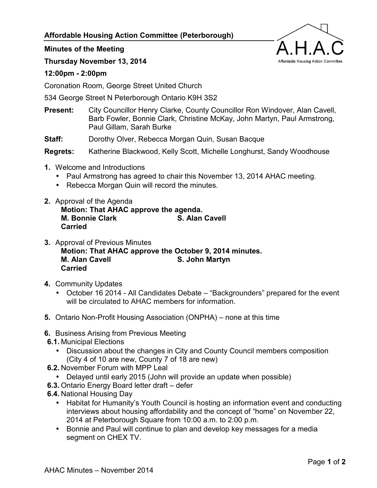## **Affordable Housing Action Committee (Peterborough)**



## **Minutes of the Meeting**

**Thursday November 13, 2014** 

## **12:00pm - 2:00pm**

Coronation Room, George Street United Church

534 George Street N Peterborough Ontario K9H 3S2

- **Present:** City Councillor Henry Clarke, County Councillor Ron Windover, Alan Cavell, Barb Fowler, Bonnie Clark, Christine McKay, John Martyn, Paul Armstrong, Paul Gillam, Sarah Burke
- **Staff:** Dorothy Olver, Rebecca Morgan Quin, Susan Bacque

**Regrets:** Katherine Blackwood, Kelly Scott, Michelle Longhurst, Sandy Woodhouse

- **1.** Welcome and Introductions
	- Paul Armstrong has agreed to chair this November 13, 2014 AHAC meeting.
	- Rebecca Morgan Quin will record the minutes.
- **2.** Approval of the Agenda **Motion: That AHAC approve the agenda. M. Bonnie Clark Cancell S. Alan Cavell Carried**
- **3.** Approval of Previous Minutes **Motion: That AHAC approve the October 9, 2014 minutes. S. John Martyn Carried**
- **4.** Community Updates
	- October 16 2014 All Candidates Debate "Backgrounders" prepared for the event will be circulated to AHAC members for information.
- **5.** Ontario Non-Profit Housing Association (ONPHA) none at this time
- **6.** Business Arising from Previous Meeting
- **6.1.** Municipal Elections
	- Discussion about the changes in City and County Council members composition (City 4 of 10 are new, County 7 of 18 are new)
- **6.2.** November Forum with MPP Leal
	- Delayed until early 2015 (John will provide an update when possible)
- **6.3.** Ontario Energy Board letter draft defer
- **6.4.** National Housing Day
	- Habitat for Humanity's Youth Council is hosting an information event and conducting interviews about housing affordability and the concept of "home" on November 22, 2014 at Peterborough Square from 10:00 a.m. to 2:00 p.m.
	- Bonnie and Paul will continue to plan and develop key messages for a media segment on CHEX TV.